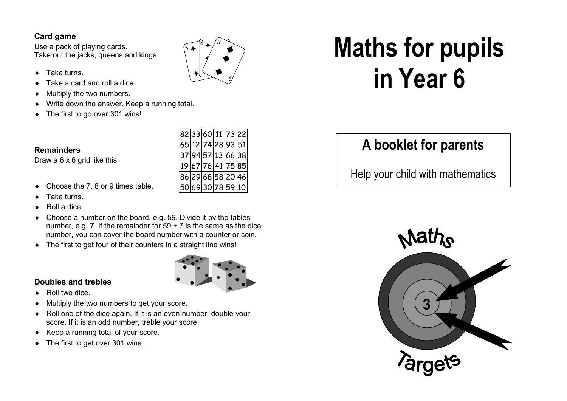### **Card game**

 Use a pack of playing cards. Take out the jacks, queens and kings.

- Take turns.
- Take a card and roll a dice.
- Multiply the two numbers.
- Write down the answer. Keep a running total.
- The first to go over 301 wins!



 $5+$  $\mathbf{F} \mid \mathbf{F}$ 

> D  $\searrow$

 $\Box$ 

 $^{8}$  +  $^{3}$ 78  $\frac{1}{\sqrt{2}}$  $\sim$   $\blacksquare$  $\bullet$ 

3

 $\sum_{\mathcal{L}}$ 

 $\blacklozenge$  $\blacklozenge$ 

Choose the 7, 8 or 9 times table.

Draw a 6 x 6 grid like this.

Take turns.

**Remainders** 

- Roll a dice.
- Choose a number on the board, e.g. 59. Divide it by the tables number, e.g. 7. If the remainder for  $59 \div 7$  is the same as the dice number, you can cover the board number with a counter or coin.
- ♦ The first to get four of their counters in a straight line wins!





- ♦ Roll two dice.
- ♦ Multiply the two numbers to get your score.
- ♦ Roll one of the dice again. If it is an even number, double your score. If it is an odd number, treble your score.
- ♦ Keep a running total of your score.
- The first to get over 301 wins.

# **Maths for pupils in Year 6**

# **A booklet for parents**

Help your child with mathematics